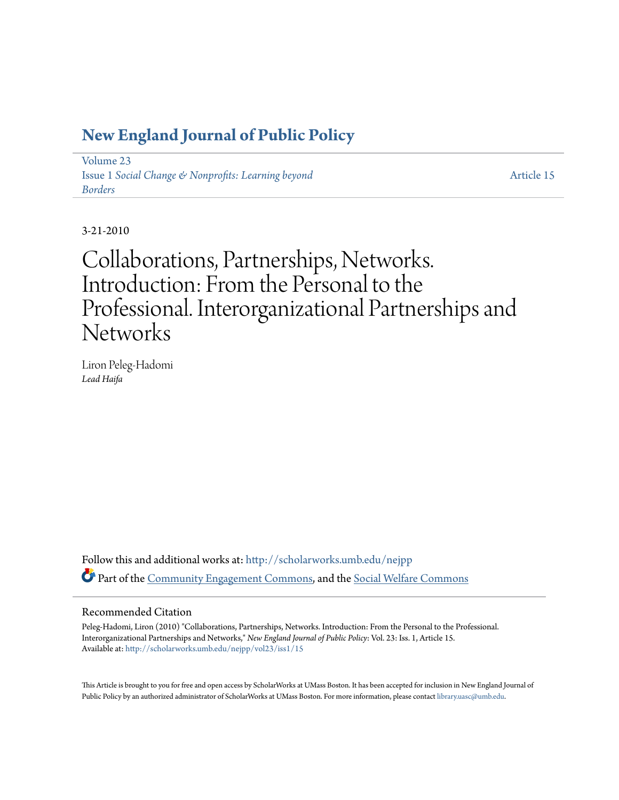# **[New England Journal of Public Policy](http://scholarworks.umb.edu/nejpp?utm_source=scholarworks.umb.edu%2Fnejpp%2Fvol23%2Fiss1%2F15&utm_medium=PDF&utm_campaign=PDFCoverPages)**

[Volume 23](http://scholarworks.umb.edu/nejpp/vol23?utm_source=scholarworks.umb.edu%2Fnejpp%2Fvol23%2Fiss1%2F15&utm_medium=PDF&utm_campaign=PDFCoverPages) Issue 1 *[Social Change & Nonprofits: Learning beyond](http://scholarworks.umb.edu/nejpp/vol23/iss1?utm_source=scholarworks.umb.edu%2Fnejpp%2Fvol23%2Fiss1%2F15&utm_medium=PDF&utm_campaign=PDFCoverPages) [Borders](http://scholarworks.umb.edu/nejpp/vol23/iss1?utm_source=scholarworks.umb.edu%2Fnejpp%2Fvol23%2Fiss1%2F15&utm_medium=PDF&utm_campaign=PDFCoverPages)*

[Article 15](http://scholarworks.umb.edu/nejpp/vol23/iss1/15?utm_source=scholarworks.umb.edu%2Fnejpp%2Fvol23%2Fiss1%2F15&utm_medium=PDF&utm_campaign=PDFCoverPages)

3-21-2010

Collaborations, Partnerships, Networks. Introduction: From the Personal to the Professional. Interorganizational Partnerships and **Networks** 

Liron Peleg-Hadomi *Lead Haifa*

Follow this and additional works at: [http://scholarworks.umb.edu/nejpp](http://scholarworks.umb.edu/nejpp?utm_source=scholarworks.umb.edu%2Fnejpp%2Fvol23%2Fiss1%2F15&utm_medium=PDF&utm_campaign=PDFCoverPages) Part of the [Community Engagement Commons](http://network.bepress.com/hgg/discipline/1028?utm_source=scholarworks.umb.edu%2Fnejpp%2Fvol23%2Fiss1%2F15&utm_medium=PDF&utm_campaign=PDFCoverPages), and the [Social Welfare Commons](http://network.bepress.com/hgg/discipline/401?utm_source=scholarworks.umb.edu%2Fnejpp%2Fvol23%2Fiss1%2F15&utm_medium=PDF&utm_campaign=PDFCoverPages)

#### Recommended Citation

Peleg-Hadomi, Liron (2010) "Collaborations, Partnerships, Networks. Introduction: From the Personal to the Professional. Interorganizational Partnerships and Networks," *New England Journal of Public Policy*: Vol. 23: Iss. 1, Article 15. Available at: [http://scholarworks.umb.edu/nejpp/vol23/iss1/15](http://scholarworks.umb.edu/nejpp/vol23/iss1/15?utm_source=scholarworks.umb.edu%2Fnejpp%2Fvol23%2Fiss1%2F15&utm_medium=PDF&utm_campaign=PDFCoverPages)

This Article is brought to you for free and open access by ScholarWorks at UMass Boston. It has been accepted for inclusion in New England Journal of Public Policy by an authorized administrator of ScholarWorks at UMass Boston. For more information, please contact [library.uasc@umb.edu](mailto:library.uasc@umb.edu).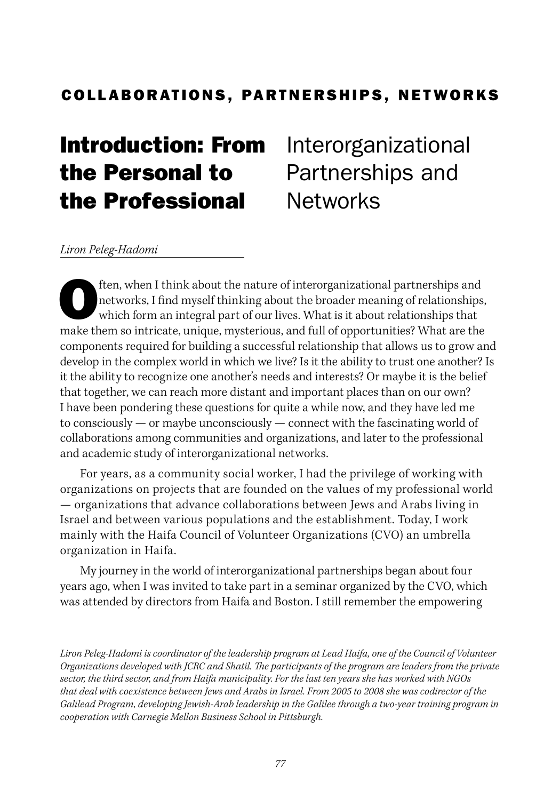# COLLABORATIONS, PARTNERSHIPS, NETWORKS

# Introduction: From the Personal to the Professional

Interorganizational Partnerships and **Networks** 

#### *Liron Peleg-Hadomi*

ften, when I think about the nature of interorganizational partnerships and<br>networks, I find myself thinking about the broader meaning of relationships<br>which form an integral part of our lives. What is it about relationshi networks, I find myself thinking about the broader meaning of relationships, which form an integral part of our lives. What is it about relationships that make them so intricate, unique, mysterious, and full of opportunities? What are the components required for building a successful relationship that allows us to grow and develop in the complex world in which we live? Is it the ability to trust one another? Is it the ability to recognize one another's needs and interests? Or maybe it is the belief that together, we can reach more distant and important places than on our own? I have been pondering these questions for quite a while now, and they have led me to consciously — or maybe unconsciously — connect with the fascinating world of collaborations among communities and organizations, and later to the professional and academic study of interorganizational networks.

For years, as a community social worker, I had the privilege of working with organizations on projects that are founded on the values of my professional world — organizations that advance collaborations between Jews and Arabs living in Israel and between various populations and the establishment. Today, I work mainly with the Haifa Council of Volunteer Organizations (CVO) an umbrella organization in Haifa.

My journey in the world of interorganizational partnerships began about four years ago, when I was invited to take part in a seminar organized by the CVO, which was attended by directors from Haifa and Boston. I still remember the empowering

*Liron Peleg-Hadomi is coordinator of the leadership program at Lead Haifa, one of the Council of Volunteer Organizations developed with JCRC and Shatil. The participants of the program are leaders from the private sector, the third sector, and from Haifa municipality. For the last ten years she has worked with NGOs that deal with coexistence between Jews and Arabs in Israel. From 2005 to 2008 she was codirector of the Galilead Program, developing Jewish-Arab leadership in the Galilee through a two-year training program in cooperation with Carnegie Mellon Business School in Pittsburgh.*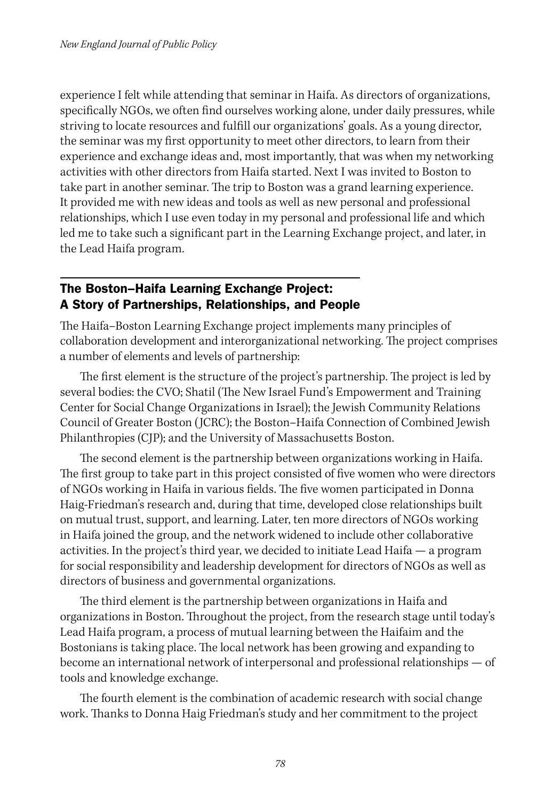experience I felt while attending that seminar in Haifa. As directors of organizations, specifically NGOs, we often find ourselves working alone, under daily pressures, while striving to locate resources and fulfill our organizations' goals. As a young director, the seminar was my first opportunity to meet other directors, to learn from their experience and exchange ideas and, most importantly, that was when my networking activities with other directors from Haifa started. Next I was invited to Boston to take part in another seminar. The trip to Boston was a grand learning experience. It provided me with new ideas and tools as well as new personal and professional relationships, which I use even today in my personal and professional life and which led me to take such a significant part in the Learning Exchange project, and later, in the Lead Haifa program.

#### The Boston–Haifa Learning Exchange Project: A Story of Partnerships, Relationships, and People

The Haifa–Boston Learning Exchange project implements many principles of collaboration development and interorganizational networking. The project comprises a number of elements and levels of partnership:

The first element is the structure of the project's partnership. The project is led by several bodies: the CVO; Shatil (The New Israel Fund's Empowerment and Training Center for Social Change Organizations in Israel); the Jewish Community Relations Council of Greater Boston (JCRC); the Boston–Haifa Connection of Combined Jewish Philanthropies (CJP); and the University of Massachusetts Boston.

The second element is the partnership between organizations working in Haifa. The first group to take part in this project consisted of five women who were directors of NGOs working in Haifa in various fields. The five women participated in Donna Haig-Friedman's research and, during that time, developed close relationships built on mutual trust, support, and learning. Later, ten more directors of NGOs working in Haifa joined the group, and the network widened to include other collaborative activities. In the project's third year, we decided to initiate Lead Haifa — a program for social responsibility and leadership development for directors of NGOs as well as directors of business and governmental organizations.

The third element is the partnership between organizations in Haifa and organizations in Boston. Throughout the project, from the research stage until today's Lead Haifa program, a process of mutual learning between the Haifaim and the Bostonians is taking place. The local network has been growing and expanding to become an international network of interpersonal and professional relationships — of tools and knowledge exchange.

The fourth element is the combination of academic research with social change work. Thanks to Donna Haig Friedman's study and her commitment to the project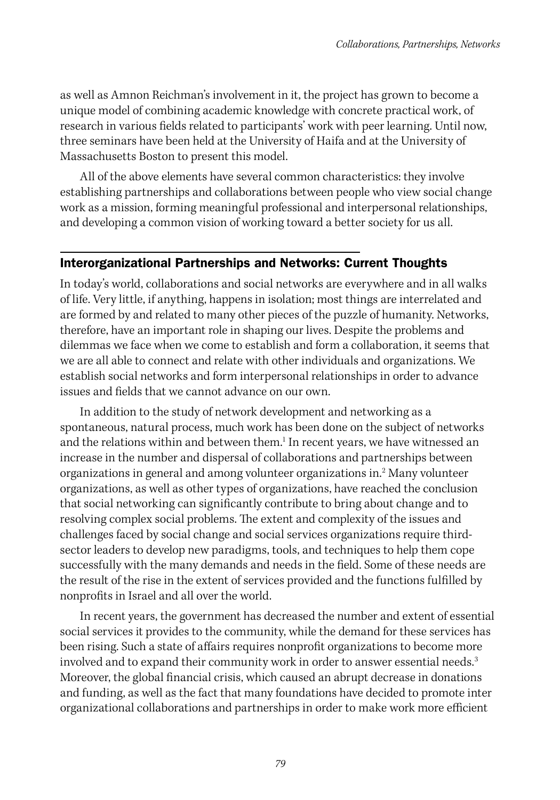as well as Amnon Reichman's involvement in it, the project has grown to become a unique model of combining academic knowledge with concrete practical work, of research in various fields related to participants' work with peer learning. Until now, three seminars have been held at the University of Haifa and at the University of Massachusetts Boston to present this model.

All of the above elements have several common characteristics: they involve establishing partnerships and collaborations between people who view social change work as a mission, forming meaningful professional and interpersonal relationships, and developing a common vision of working toward a better society for us all.

#### Interorganizational Partnerships and Networks: Current Thoughts

In today's world, collaborations and social networks are everywhere and in all walks of life. Very little, if anything, happens in isolation; most things are interrelated and are formed by and related to many other pieces of the puzzle of humanity. Networks, therefore, have an important role in shaping our lives. Despite the problems and dilemmas we face when we come to establish and form a collaboration, it seems that we are all able to connect and relate with other individuals and organizations. We establish social networks and form interpersonal relationships in order to advance issues and fields that we cannot advance on our own.

In addition to the study of network development and networking as a spontaneous, natural process, much work has been done on the subject of networks and the relations within and between them.<sup>1</sup> In recent years, we have witnessed an increase in the number and dispersal of collaborations and partnerships between organizations in general and among volunteer organizations in.<sup>2</sup> Many volunteer organizations, as well as other types of organizations, have reached the conclusion that social networking can significantly contribute to bring about change and to resolving complex social problems. The extent and complexity of the issues and challenges faced by social change and social services organizations require thirdsector leaders to develop new paradigms, tools, and techniques to help them cope successfully with the many demands and needs in the field. Some of these needs are the result of the rise in the extent of services provided and the functions fulfilled by nonprofits in Israel and all over the world.

In recent years, the government has decreased the number and extent of essential social services it provides to the community, while the demand for these services has been rising. Such a state of affairs requires nonprofit organizations to become more involved and to expand their community work in order to answer essential needs.<sup>3</sup> Moreover, the global financial crisis, which caused an abrupt decrease in donations and funding, as well as the fact that many foundations have decided to promote inter organizational collaborations and partnerships in order to make work more efficient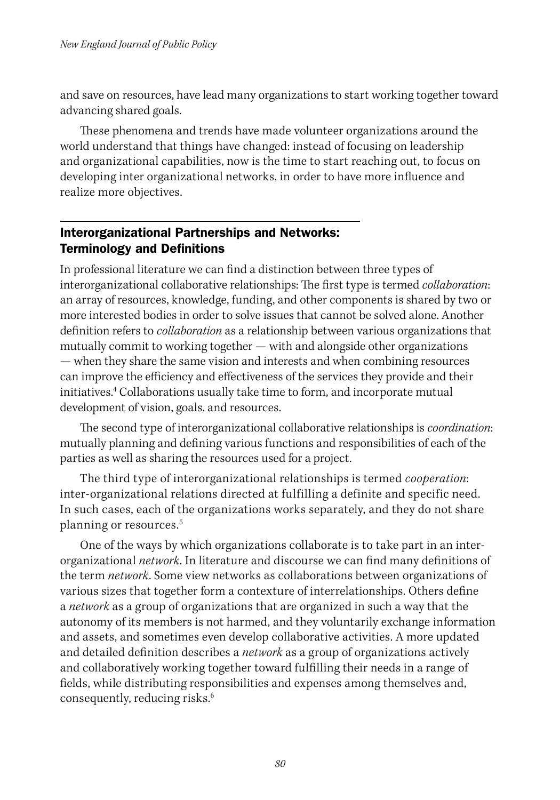and save on resources, have lead many organizations to start working together toward advancing shared goals.

These phenomena and trends have made volunteer organizations around the world understand that things have changed: instead of focusing on leadership and organizational capabilities, now is the time to start reaching out, to focus on developing inter organizational networks, in order to have more influence and realize more objectives.

## Interorganizational Partnerships and Networks: Terminology and Definitions

In professional literature we can find a distinction between three types of interorganizational collaborative relationships: The first type is termed *collaboration*: an array of resources, knowledge, funding, and other components is shared by two or more interested bodies in order to solve issues that cannot be solved alone. Another definition refers to *collaboration* as a relationship between various organizations that mutually commit to working together — with and alongside other organizations — when they share the same vision and interests and when combining resources can improve the efficiency and effectiveness of the services they provide and their initiatives.4 Collaborations usually take time to form, and incorporate mutual development of vision, goals, and resources.

The second type of interorganizational collaborative relationships is *coordination*: mutually planning and defining various functions and responsibilities of each of the parties as well as sharing the resources used for a project.

The third type of interorganizational relationships is termed *cooperation*: inter-organizational relations directed at fulfilling a definite and specific need. In such cases, each of the organizations works separately, and they do not share planning or resources.5

One of the ways by which organizations collaborate is to take part in an interorganizational *network*. In literature and discourse we can find many definitions of the term *network*. Some view networks as collaborations between organizations of various sizes that together form a contexture of interrelationships. Others define a *network* as a group of organizations that are organized in such a way that the autonomy of its members is not harmed, and they voluntarily exchange information and assets, and sometimes even develop collaborative activities. A more updated and detailed definition describes a *network* as a group of organizations actively and collaboratively working together toward fulfilling their needs in a range of fields, while distributing responsibilities and expenses among themselves and, consequently, reducing risks.<sup>6</sup>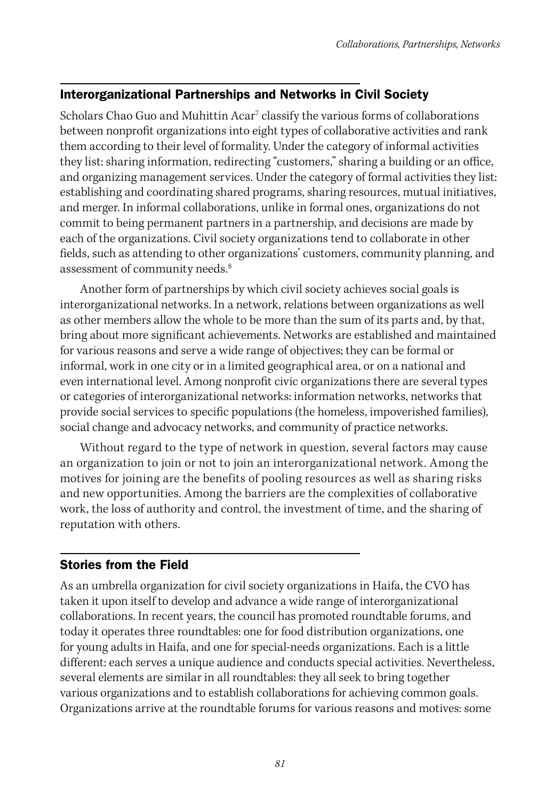## Interorganizational Partnerships and Networks in Civil Society

Scholars Chao Guo and Muhittin Acar<sup>7</sup> classify the various forms of collaborations between nonprofit organizations into eight types of collaborative activities and rank them according to their level of formality. Under the category of informal activities they list: sharing information, redirecting "customers," sharing a building or an office, and organizing management services. Under the category of formal activities they list: establishing and coordinating shared programs, sharing resources, mutual initiatives, and merger. In informal collaborations, unlike in formal ones, organizations do not commit to being permanent partners in a partnership, and decisions are made by each of the organizations. Civil society organizations tend to collaborate in other fields, such as attending to other organizations' customers, community planning, and assessment of community needs.<sup>8</sup>

Another form of partnerships by which civil society achieves social goals is interorganizational networks. In a network, relations between organizations as well as other members allow the whole to be more than the sum of its parts and, by that, bring about more significant achievements. Networks are established and maintained for various reasons and serve a wide range of objectives; they can be formal or informal, work in one city or in a limited geographical area, or on a national and even international level. Among nonprofit civic organizations there are several types or categories of interorganizational networks: information networks, networks that provide social services to specific populations (the homeless, impoverished families), social change and advocacy networks, and community of practice networks.

Without regard to the type of network in question, several factors may cause an organization to join or not to join an interorganizational network. Among the motives for joining are the benefits of pooling resources as well as sharing risks and new opportunities. Among the barriers are the complexities of collaborative work, the loss of authority and control, the investment of time, and the sharing of reputation with others.

#### Stories from the Field

As an umbrella organization for civil society organizations in Haifa, the CVO has taken it upon itself to develop and advance a wide range of interorganizational collaborations. In recent years, the council has promoted roundtable forums, and today it operates three roundtables: one for food distribution organizations, one for young adults in Haifa, and one for special-needs organizations. Each is a little different: each serves a unique audience and conducts special activities. Nevertheless, several elements are similar in all roundtables: they all seek to bring together various organizations and to establish collaborations for achieving common goals. Organizations arrive at the roundtable forums for various reasons and motives: some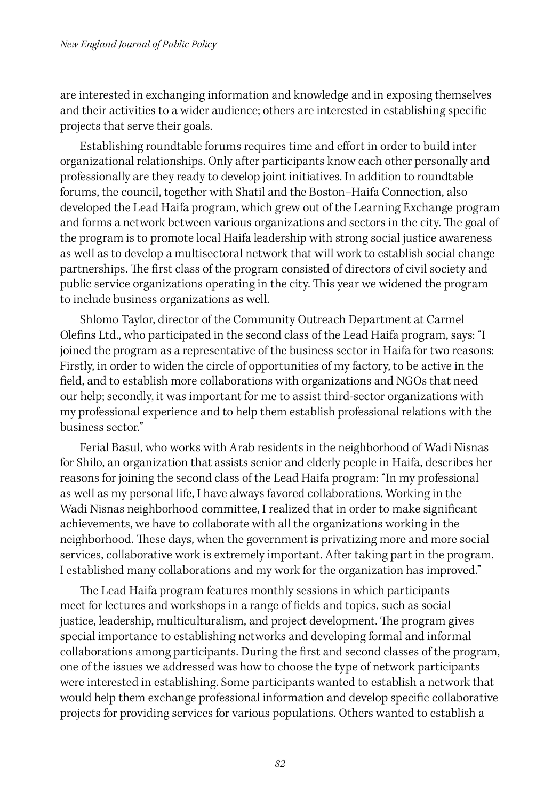are interested in exchanging information and knowledge and in exposing themselves and their activities to a wider audience; others are interested in establishing specific projects that serve their goals.

Establishing roundtable forums requires time and effort in order to build inter organizational relationships. Only after participants know each other personally and professionally are they ready to develop joint initiatives. In addition to roundtable forums, the council, together with Shatil and the Boston–Haifa Connection, also developed the Lead Haifa program, which grew out of the Learning Exchange program and forms a network between various organizations and sectors in the city. The goal of the program is to promote local Haifa leadership with strong social justice awareness as well as to develop a multisectoral network that will work to establish social change partnerships. The first class of the program consisted of directors of civil society and public service organizations operating in the city. This year we widened the program to include business organizations as well.

Shlomo Taylor, director of the Community Outreach Department at Carmel Olefins Ltd., who participated in the second class of the Lead Haifa program, says: "I joined the program as a representative of the business sector in Haifa for two reasons: Firstly, in order to widen the circle of opportunities of my factory, to be active in the field, and to establish more collaborations with organizations and NGOs that need our help; secondly, it was important for me to assist third-sector organizations with my professional experience and to help them establish professional relations with the business sector."

Ferial Basul, who works with Arab residents in the neighborhood of Wadi Nisnas for Shilo, an organization that assists senior and elderly people in Haifa, describes her reasons for joining the second class of the Lead Haifa program: "In my professional as well as my personal life, I have always favored collaborations. Working in the Wadi Nisnas neighborhood committee, I realized that in order to make significant achievements, we have to collaborate with all the organizations working in the neighborhood. These days, when the government is privatizing more and more social services, collaborative work is extremely important. After taking part in the program, I established many collaborations and my work for the organization has improved."

The Lead Haifa program features monthly sessions in which participants meet for lectures and workshops in a range of fields and topics, such as social justice, leadership, multiculturalism, and project development. The program gives special importance to establishing networks and developing formal and informal collaborations among participants. During the first and second classes of the program, one of the issues we addressed was how to choose the type of network participants were interested in establishing. Some participants wanted to establish a network that would help them exchange professional information and develop specific collaborative projects for providing services for various populations. Others wanted to establish a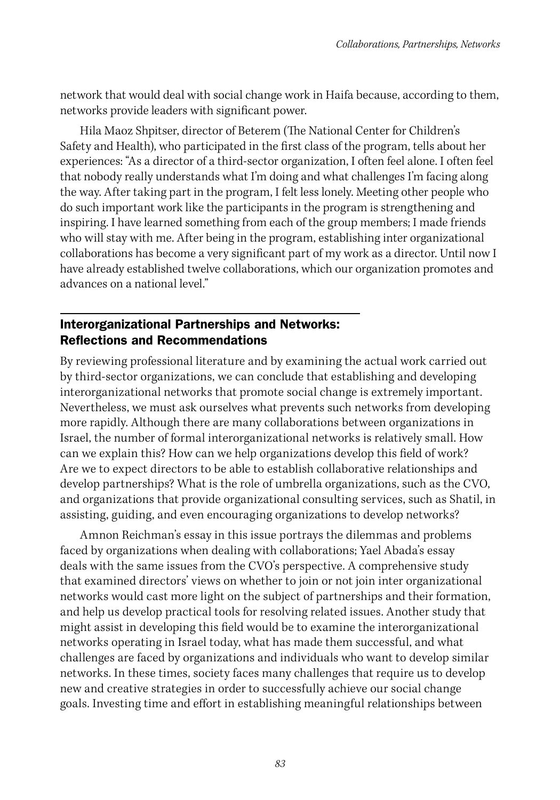network that would deal with social change work in Haifa because, according to them, networks provide leaders with significant power.

Hila Maoz Shpitser, director of Beterem (The National Center for Children's Safety and Health), who participated in the first class of the program, tells about her experiences: "As a director of a third-sector organization, I often feel alone. I often feel that nobody really understands what I'm doing and what challenges I'm facing along the way. After taking part in the program, I felt less lonely. Meeting other people who do such important work like the participants in the program is strengthening and inspiring. I have learned something from each of the group members; I made friends who will stay with me. After being in the program, establishing inter organizational collaborations has become a very significant part of my work as a director. Until now I have already established twelve collaborations, which our organization promotes and advances on a national level."

### Interorganizational Partnerships and Networks: Reflections and Recommendations

By reviewing professional literature and by examining the actual work carried out by third-sector organizations, we can conclude that establishing and developing interorganizational networks that promote social change is extremely important. Nevertheless, we must ask ourselves what prevents such networks from developing more rapidly. Although there are many collaborations between organizations in Israel, the number of formal interorganizational networks is relatively small. How can we explain this? How can we help organizations develop this field of work? Are we to expect directors to be able to establish collaborative relationships and develop partnerships? What is the role of umbrella organizations, such as the CVO, and organizations that provide organizational consulting services, such as Shatil, in assisting, guiding, and even encouraging organizations to develop networks?

Amnon Reichman's essay in this issue portrays the dilemmas and problems faced by organizations when dealing with collaborations; Yael Abada's essay deals with the same issues from the CVO's perspective. A comprehensive study that examined directors' views on whether to join or not join inter organizational networks would cast more light on the subject of partnerships and their formation, and help us develop practical tools for resolving related issues. Another study that might assist in developing this field would be to examine the interorganizational networks operating in Israel today, what has made them successful, and what challenges are faced by organizations and individuals who want to develop similar networks. In these times, society faces many challenges that require us to develop new and creative strategies in order to successfully achieve our social change goals. Investing time and effort in establishing meaningful relationships between